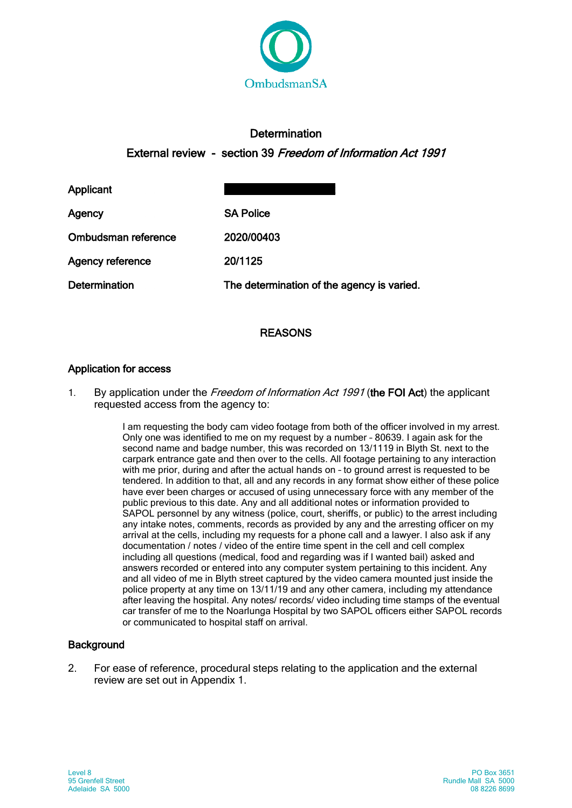

# **Determination**

External review - section 39 Freedom of Information Act 1991

Applicant

| Agency              | <b>SA Police</b>                           |
|---------------------|--------------------------------------------|
| Ombudsman reference | 2020/00403                                 |
| Agency reference    | 20/1125                                    |
| Determination       | The determination of the agency is varied. |

# REASONS

# Application for access

1. By application under the Freedom of Information Act 1991 (the FOI Act) the applicant requested access from the agency to:

> I am requesting the body cam video footage from both of the officer involved in my arrest. Only one was identified to me on my request by a number – 80639. I again ask for the second name and badge number, this was recorded on 13/1119 in Blyth St. next to the carpark entrance gate and then over to the cells. All footage pertaining to any interaction with me prior, during and after the actual hands on – to ground arrest is requested to be tendered. In addition to that, all and any records in any format show either of these police have ever been charges or accused of using unnecessary force with any member of the public previous to this date. Any and all additional notes or information provided to SAPOL personnel by any witness (police, court, sheriffs, or public) to the arrest including any intake notes, comments, records as provided by any and the arresting officer on my arrival at the cells, including my requests for a phone call and a lawyer. I also ask if any documentation / notes / video of the entire time spent in the cell and cell complex including all questions (medical, food and regarding was if I wanted bail) asked and answers recorded or entered into any computer system pertaining to this incident. Any and all video of me in Blyth street captured by the video camera mounted just inside the police property at any time on 13/11/19 and any other camera, including my attendance after leaving the hospital. Any notes/ records/ video including time stamps of the eventual car transfer of me to the Noarlunga Hospital by two SAPOL officers either SAPOL records or communicated to hospital staff on arrival.

# **Background**

2. For ease of reference, procedural steps relating to the application and the external review are set out in Appendix 1.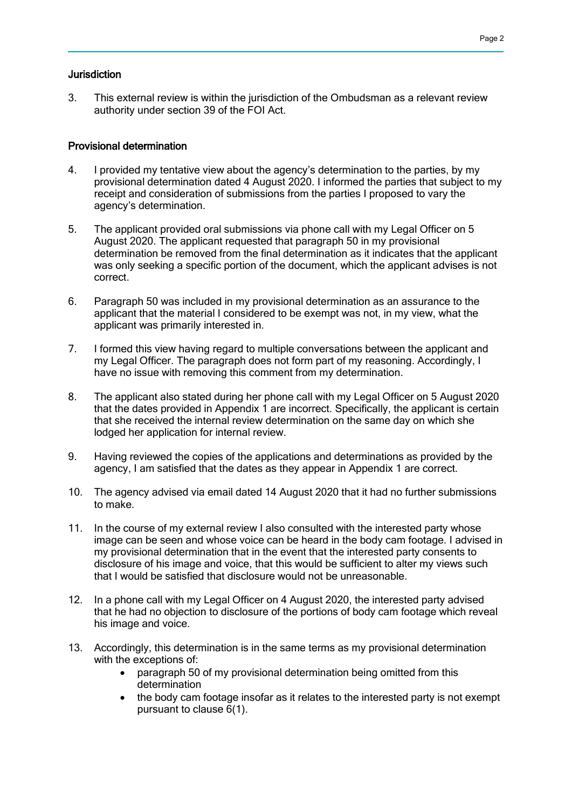## **Jurisdiction**

3. This external review is within the jurisdiction of the Ombudsman as a relevant review authority under section 39 of the FOI Act.

### Provisional determination

- 4. I provided my tentative view about the agency's determination to the parties, by my provisional determination dated 4 August 2020. I informed the parties that subject to my receipt and consideration of submissions from the parties I proposed to vary the agency's determination.
- 5. The applicant provided oral submissions via phone call with my Legal Officer on 5 August 2020. The applicant requested that paragraph 50 in my provisional determination be removed from the final determination as it indicates that the applicant was only seeking a specific portion of the document, which the applicant advises is not correct.
- 6. Paragraph 50 was included in my provisional determination as an assurance to the applicant that the material I considered to be exempt was not, in my view, what the applicant was primarily interested in.
- 7. I formed this view having regard to multiple conversations between the applicant and my Legal Officer. The paragraph does not form part of my reasoning. Accordingly, I have no issue with removing this comment from my determination.
- 8. The applicant also stated during her phone call with my Legal Officer on 5 August 2020 that the dates provided in Appendix 1 are incorrect. Specifically, the applicant is certain that she received the internal review determination on the same day on which she lodged her application for internal review.
- 9. Having reviewed the copies of the applications and determinations as provided by the agency, I am satisfied that the dates as they appear in Appendix 1 are correct.
- 10. The agency advised via email dated 14 August 2020 that it had no further submissions to make.
- 11. In the course of my external review I also consulted with the interested party whose image can be seen and whose voice can be heard in the body cam footage. I advised in my provisional determination that in the event that the interested party consents to disclosure of his image and voice, that this would be sufficient to alter my views such that I would be satisfied that disclosure would not be unreasonable.
- 12. In a phone call with my Legal Officer on 4 August 2020, the interested party advised that he had no objection to disclosure of the portions of body cam footage which reveal his image and voice.
- 13. Accordingly, this determination is in the same terms as my provisional determination with the exceptions of:
	- paragraph 50 of my provisional determination being omitted from this determination
	- the body cam footage insofar as it relates to the interested party is not exempt pursuant to clause 6(1).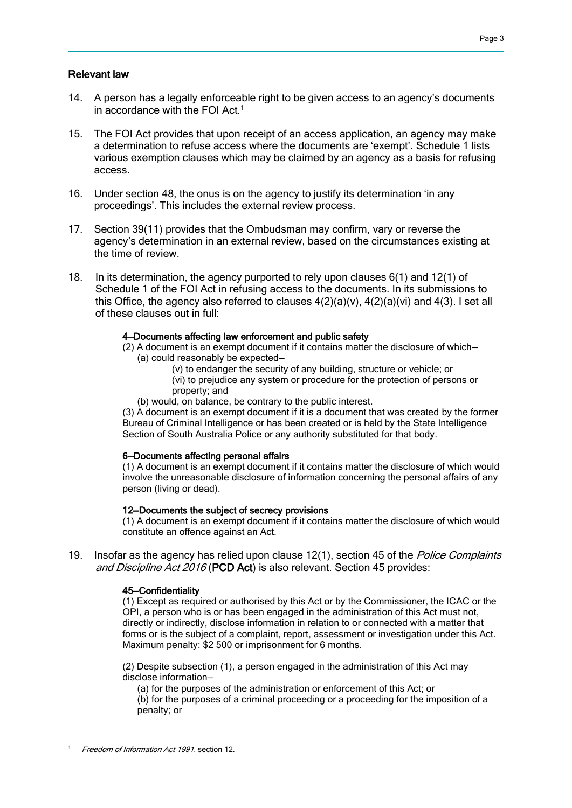## Relevant law

- 14. A person has a legally enforceable right to be given access to an agency's documents in accordance with the FOI Act.<sup>1</sup>
- 15. The FOI Act provides that upon receipt of an access application, an agency may make a determination to refuse access where the documents are 'exempt'. Schedule 1 lists various exemption clauses which may be claimed by an agency as a basis for refusing access.
- 16. Under section 48, the onus is on the agency to justify its determination 'in any proceedings'. This includes the external review process.
- 17. Section 39(11) provides that the Ombudsman may confirm, vary or reverse the agency's determination in an external review, based on the circumstances existing at the time of review.
- 18. In its determination, the agency purported to rely upon clauses 6(1) and 12(1) of Schedule 1 of the FOI Act in refusing access to the documents. In its submissions to this Office, the agency also referred to clauses  $4(2)(a)(v)$ ,  $4(2)(a)(vi)$  and  $4(3)$ . I set all of these clauses out in full:

#### 4—Documents affecting law enforcement and public safety

(2) A document is an exempt document if it contains matter the disclosure of which— (a) could reasonably be expected—

(v) to endanger the security of any building, structure or vehicle; or

(vi) to prejudice any system or procedure for the protection of persons or property; and

(b) would, on balance, be contrary to the public interest.

(3) A document is an exempt document if it is a document that was created by the former Bureau of Criminal Intelligence or has been created or is held by the State Intelligence Section of South Australia Police or any authority substituted for that body.

### 6—Documents affecting personal affairs

(1) A document is an exempt document if it contains matter the disclosure of which would involve the unreasonable disclosure of information concerning the personal affairs of any person (living or dead).

#### 12—Documents the subject of secrecy provisions

(1) A document is an exempt document if it contains matter the disclosure of which would constitute an offence against an Act.

19. Insofar as the agency has relied upon clause 12(1), section 45 of the *Police Complaints* and Discipline Act 2016 (PCD Act) is also relevant. Section 45 provides:

### 45—Confidentiality

(1) Except as required or authorised by this Act or by the Commissioner, the ICAC or the OPI, a person who is or has been engaged in the administration of this Act must not, directly or indirectly, disclose information in relation to or connected with a matter that forms or is the subject of a complaint, report, assessment or investigation under this Act. Maximum penalty: \$2 500 or imprisonment for 6 months.

(2) Despite subsection (1), a person engaged in the administration of this Act may disclose information—

(a) for the purposes of the administration or enforcement of this Act; or

(b) for the purposes of a criminal proceeding or a proceeding for the imposition of a penalty; or

 Freedom of Information Act 1991, section 12.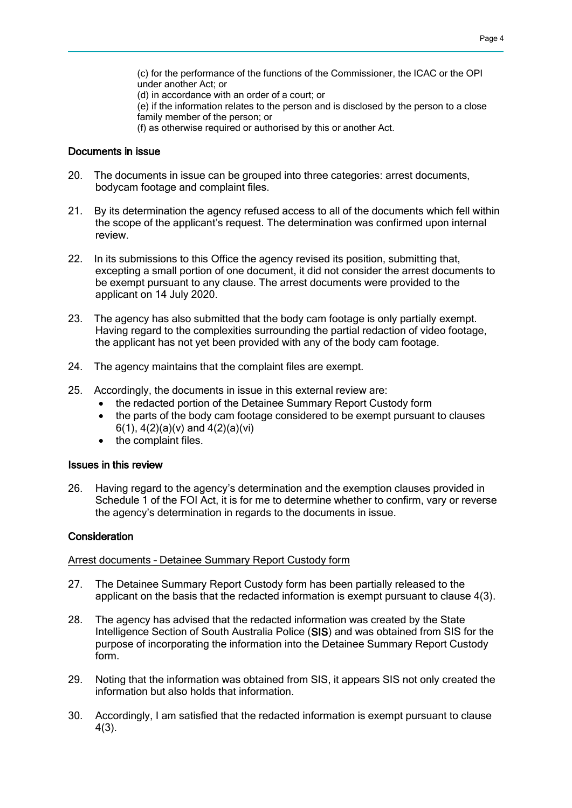(c) for the performance of the functions of the Commissioner, the ICAC or the OPI under another Act; or

(d) in accordance with an order of a court; or

(e) if the information relates to the person and is disclosed by the person to a close family member of the person; or

(f) as otherwise required or authorised by this or another Act.

#### Documents in issue

- 20. The documents in issue can be grouped into three categories: arrest documents, bodycam footage and complaint files.
- 21. By its determination the agency refused access to all of the documents which fell within the scope of the applicant's request. The determination was confirmed upon internal review.
- 22. In its submissions to this Office the agency revised its position, submitting that, excepting a small portion of one document, it did not consider the arrest documents to be exempt pursuant to any clause. The arrest documents were provided to the applicant on 14 July 2020.
- 23. The agency has also submitted that the body cam footage is only partially exempt. Having regard to the complexities surrounding the partial redaction of video footage, the applicant has not yet been provided with any of the body cam footage.
- 24. The agency maintains that the complaint files are exempt.
- 25. Accordingly, the documents in issue in this external review are:
	- the redacted portion of the Detainee Summary Report Custody form
	- the parts of the body cam footage considered to be exempt pursuant to clauses 6(1), 4(2)(a)(v) and 4(2)(a)(vi)
	- the complaint files.

#### Issues in this review

26. Having regard to the agency's determination and the exemption clauses provided in Schedule 1 of the FOI Act, it is for me to determine whether to confirm, vary or reverse the agency's determination in regards to the documents in issue.

### **Consideration**

Arrest documents – Detainee Summary Report Custody form

- 27. The Detainee Summary Report Custody form has been partially released to the applicant on the basis that the redacted information is exempt pursuant to clause 4(3).
- 28. The agency has advised that the redacted information was created by the State Intelligence Section of South Australia Police (SIS) and was obtained from SIS for the purpose of incorporating the information into the Detainee Summary Report Custody form.
- 29. Noting that the information was obtained from SIS, it appears SIS not only created the information but also holds that information.
- 30. Accordingly, I am satisfied that the redacted information is exempt pursuant to clause 4(3).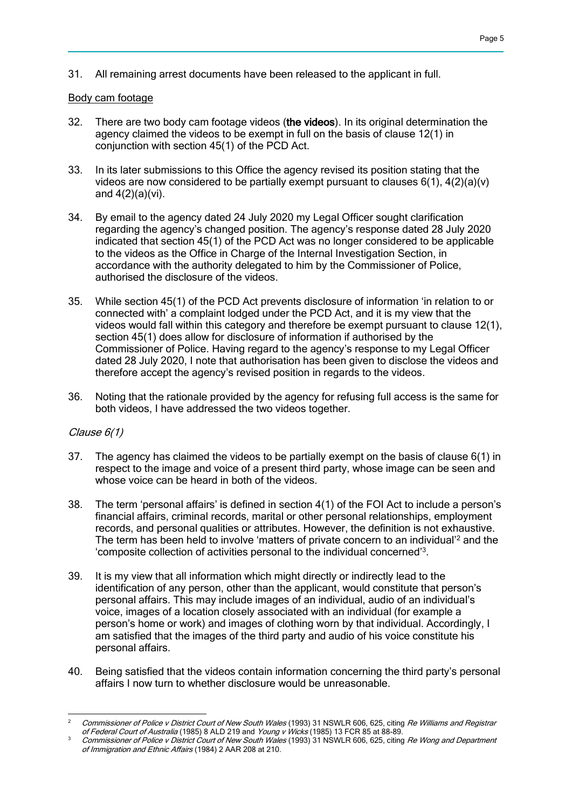31. All remaining arrest documents have been released to the applicant in full.

## Body cam footage

- 32. There are two body cam footage videos (the videos). In its original determination the agency claimed the videos to be exempt in full on the basis of clause 12(1) in conjunction with section 45(1) of the PCD Act.
- 33. In its later submissions to this Office the agency revised its position stating that the videos are now considered to be partially exempt pursuant to clauses  $6(1)$ ,  $4(2)(a)(v)$ and  $4(2)(a)(vi)$ .
- 34. By email to the agency dated 24 July 2020 my Legal Officer sought clarification regarding the agency's changed position. The agency's response dated 28 July 2020 indicated that section 45(1) of the PCD Act was no longer considered to be applicable to the videos as the Office in Charge of the Internal Investigation Section, in accordance with the authority delegated to him by the Commissioner of Police, authorised the disclosure of the videos.
- 35. While section 45(1) of the PCD Act prevents disclosure of information 'in relation to or connected with' a complaint lodged under the PCD Act, and it is my view that the videos would fall within this category and therefore be exempt pursuant to clause 12(1), section 45(1) does allow for disclosure of information if authorised by the Commissioner of Police. Having regard to the agency's response to my Legal Officer dated 28 July 2020, I note that authorisation has been given to disclose the videos and therefore accept the agency's revised position in regards to the videos.
- 36. Noting that the rationale provided by the agency for refusing full access is the same for both videos, I have addressed the two videos together.

## Clause 6(1)

- 37. The agency has claimed the videos to be partially exempt on the basis of clause 6(1) in respect to the image and voice of a present third party, whose image can be seen and whose voice can be heard in both of the videos.
- 38. The term 'personal affairs' is defined in section 4(1) of the FOI Act to include a person's financial affairs, criminal records, marital or other personal relationships, employment records, and personal qualities or attributes. However, the definition is not exhaustive. The term has been held to involve 'matters of private concern to an individual'<sup>2</sup> and the 'composite collection of activities personal to the individual concerned'<sup>3</sup> .
- 39. It is my view that all information which might directly or indirectly lead to the identification of any person, other than the applicant, would constitute that person's personal affairs. This may include images of an individual, audio of an individual's voice, images of a location closely associated with an individual (for example a person's home or work) and images of clothing worn by that individual. Accordingly, I am satisfied that the images of the third party and audio of his voice constitute his personal affairs.
- 40. Being satisfied that the videos contain information concerning the third party's personal affairs I now turn to whether disclosure would be unreasonable.

 $\overline{a}$ <sup>2</sup> Commissioner of Police v District Court of New South Wales (1993) 31 NSWLR 606, 625, citing Re Williams and Registrar of Federal Court of Australia (1985) 8 ALD 219 and Young v Wicks (1985) 13 FCR 85 at 88-89.

Commissioner of Police v District Court of New South Wales (1993) 31 NSWLR 606, 625, citing Re Wong and Department of Immigration and Ethnic Affairs (1984) 2 AAR 208 at 210.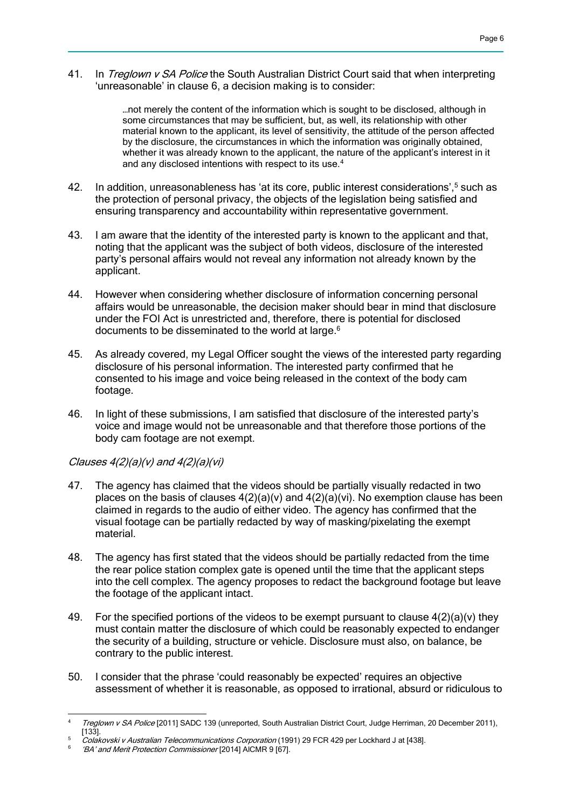41. In Treglown v SA Police the South Australian District Court said that when interpreting 'unreasonable' in clause 6, a decision making is to consider:

> …not merely the content of the information which is sought to be disclosed, although in some circumstances that may be sufficient, but, as well, its relationship with other material known to the applicant, its level of sensitivity, the attitude of the person affected by the disclosure, the circumstances in which the information was originally obtained, whether it was already known to the applicant, the nature of the applicant's interest in it and any disclosed intentions with respect to its use.<sup>4</sup>

- 42. In addition, unreasonableness has 'at its core, public interest considerations',<sup>5</sup> such as the protection of personal privacy, the objects of the legislation being satisfied and ensuring transparency and accountability within representative government.
- 43. I am aware that the identity of the interested party is known to the applicant and that, noting that the applicant was the subject of both videos, disclosure of the interested party's personal affairs would not reveal any information not already known by the applicant.
- 44. However when considering whether disclosure of information concerning personal affairs would be unreasonable, the decision maker should bear in mind that disclosure under the FOI Act is unrestricted and, therefore, there is potential for disclosed documents to be disseminated to the world at large.<sup>6</sup>
- 45. As already covered, my Legal Officer sought the views of the interested party regarding disclosure of his personal information. The interested party confirmed that he consented to his image and voice being released in the context of the body cam footage.
- 46. In light of these submissions, I am satisfied that disclosure of the interested party's voice and image would not be unreasonable and that therefore those portions of the body cam footage are not exempt.

## Clauses  $4(2)(a)(v)$  and  $4(2)(a)(vi)$

- 47. The agency has claimed that the videos should be partially visually redacted in two places on the basis of clauses  $4(2)(a)(v)$  and  $4(2)(a)(vi)$ . No exemption clause has been claimed in regards to the audio of either video. The agency has confirmed that the visual footage can be partially redacted by way of masking/pixelating the exempt material.
- 48. The agency has first stated that the videos should be partially redacted from the time the rear police station complex gate is opened until the time that the applicant steps into the cell complex. The agency proposes to redact the background footage but leave the footage of the applicant intact.
- 49. For the specified portions of the videos to be exempt pursuant to clause  $4(2)(a)(v)$  they must contain matter the disclosure of which could be reasonably expected to endanger the security of a building, structure or vehicle. Disclosure must also, on balance, be contrary to the public interest.
- 50. I consider that the phrase 'could reasonably be expected' requires an objective assessment of whether it is reasonable, as opposed to irrational, absurd or ridiculous to

 $\overline{4}$ Treglown v SA Police [2011] SADC 139 (unreported, South Australian District Court, Judge Herriman, 20 December 2011),  $[133]$ .

Colakovski v Australian Telecommunications Corporation (1991) 29 FCR 429 per Lockhard J at [438].

<sup>6</sup> 'BA' and Merit Protection Commissioner [2014] AlCMR 9 [67].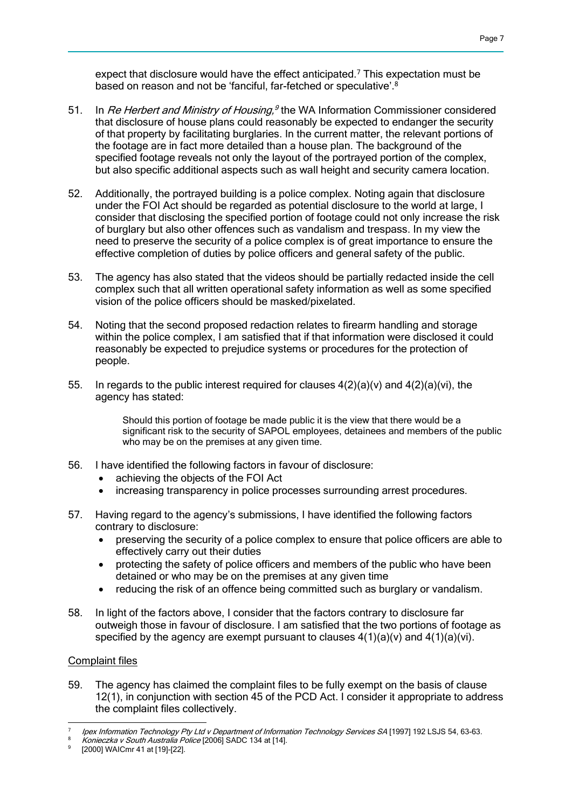expect that disclosure would have the effect anticipated.<sup>7</sup> This expectation must be based on reason and not be 'fanciful, far-fetched or speculative'.<sup>8</sup>

- 51. In *Re Herbert and Ministry of Housing*,<sup>9</sup> the WA Information Commissioner considered that disclosure of house plans could reasonably be expected to endanger the security of that property by facilitating burglaries. In the current matter, the relevant portions of the footage are in fact more detailed than a house plan. The background of the specified footage reveals not only the layout of the portrayed portion of the complex, but also specific additional aspects such as wall height and security camera location.
- 52. Additionally, the portrayed building is a police complex. Noting again that disclosure under the FOI Act should be regarded as potential disclosure to the world at large, I consider that disclosing the specified portion of footage could not only increase the risk of burglary but also other offences such as vandalism and trespass. In my view the need to preserve the security of a police complex is of great importance to ensure the effective completion of duties by police officers and general safety of the public.
- 53. The agency has also stated that the videos should be partially redacted inside the cell complex such that all written operational safety information as well as some specified vision of the police officers should be masked/pixelated.
- 54. Noting that the second proposed redaction relates to firearm handling and storage within the police complex, I am satisfied that if that information were disclosed it could reasonably be expected to prejudice systems or procedures for the protection of people.
- 55. In regards to the public interest required for clauses  $4(2)(a)(v)$  and  $4(2)(a)(vi)$ , the agency has stated:

Should this portion of footage be made public it is the view that there would be a significant risk to the security of SAPOL employees, detainees and members of the public who may be on the premises at any given time.

- 56. I have identified the following factors in favour of disclosure:
	- achieving the objects of the FOI Act
	- increasing transparency in police processes surrounding arrest procedures.
- 57. Having regard to the agency's submissions, I have identified the following factors contrary to disclosure:
	- preserving the security of a police complex to ensure that police officers are able to effectively carry out their duties
	- protecting the safety of police officers and members of the public who have been detained or who may be on the premises at any given time
	- reducing the risk of an offence being committed such as burglary or vandalism.
- 58. In light of the factors above, I consider that the factors contrary to disclosure far outweigh those in favour of disclosure. I am satisfied that the two portions of footage as specified by the agency are exempt pursuant to clauses  $4(1)(a)(v)$  and  $4(1)(a)(vi)$ .

# Complaint files

59. The agency has claimed the complaint files to be fully exempt on the basis of clause 12(1), in conjunction with section 45 of the PCD Act. I consider it appropriate to address the complaint files collectively.

 7 Ipex Information Technology Pty Ltd v Department of Information Technology Services SA [1997] 192 LSJS 54, 63-63.

Konieczka v South Australia Police [2006] SADC 134 at [14].

<sup>9</sup> [2000] WAICmr 41 at [19]-[22].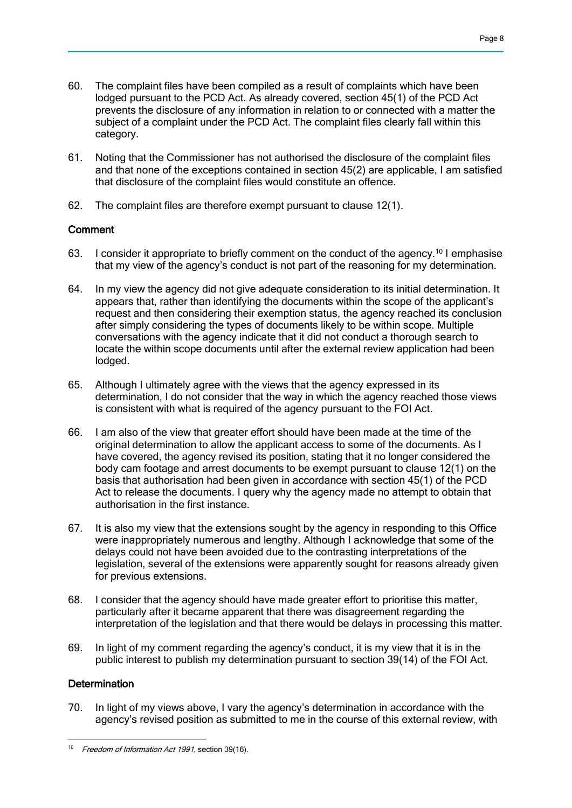- 60. The complaint files have been compiled as a result of complaints which have been lodged pursuant to the PCD Act. As already covered, section 45(1) of the PCD Act prevents the disclosure of any information in relation to or connected with a matter the subject of a complaint under the PCD Act. The complaint files clearly fall within this category.
- 61. Noting that the Commissioner has not authorised the disclosure of the complaint files and that none of the exceptions contained in section 45(2) are applicable, I am satisfied that disclosure of the complaint files would constitute an offence.
- 62. The complaint files are therefore exempt pursuant to clause 12(1).

# **Comment**

- 63. I consider it appropriate to briefly comment on the conduct of the agency.<sup>10</sup> I emphasise that my view of the agency's conduct is not part of the reasoning for my determination.
- 64. In my view the agency did not give adequate consideration to its initial determination. It appears that, rather than identifying the documents within the scope of the applicant's request and then considering their exemption status, the agency reached its conclusion after simply considering the types of documents likely to be within scope. Multiple conversations with the agency indicate that it did not conduct a thorough search to locate the within scope documents until after the external review application had been lodged.
- 65. Although I ultimately agree with the views that the agency expressed in its determination, I do not consider that the way in which the agency reached those views is consistent with what is required of the agency pursuant to the FOI Act.
- 66. I am also of the view that greater effort should have been made at the time of the original determination to allow the applicant access to some of the documents. As I have covered, the agency revised its position, stating that it no longer considered the body cam footage and arrest documents to be exempt pursuant to clause 12(1) on the basis that authorisation had been given in accordance with section 45(1) of the PCD Act to release the documents. I query why the agency made no attempt to obtain that authorisation in the first instance.
- 67. It is also my view that the extensions sought by the agency in responding to this Office were inappropriately numerous and lengthy. Although I acknowledge that some of the delays could not have been avoided due to the contrasting interpretations of the legislation, several of the extensions were apparently sought for reasons already given for previous extensions.
- 68. I consider that the agency should have made greater effort to prioritise this matter, particularly after it became apparent that there was disagreement regarding the interpretation of the legislation and that there would be delays in processing this matter.
- 69. In light of my comment regarding the agency's conduct, it is my view that it is in the public interest to publish my determination pursuant to section 39(14) of the FOI Act.

# **Determination**

70. In light of my views above, I vary the agency's determination in accordance with the agency's revised position as submitted to me in the course of this external review, with

<sup>&</sup>lt;sup>10</sup> Freedom of Information Act 1991, section 39(16).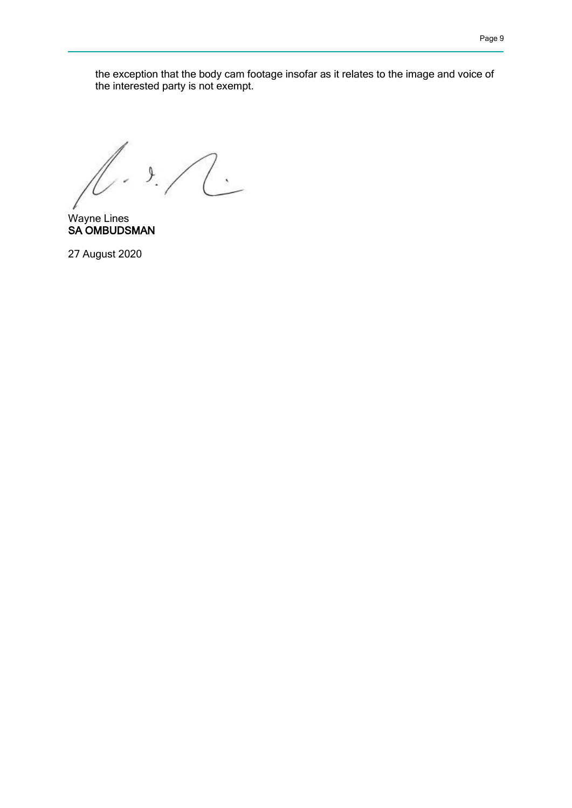the exception that the body cam footage insofar as it relates to the image and voice of the interested party is not exempt.

 $1.12$ 

Wayne Lines SA OMBUDSMAN

27 August 2020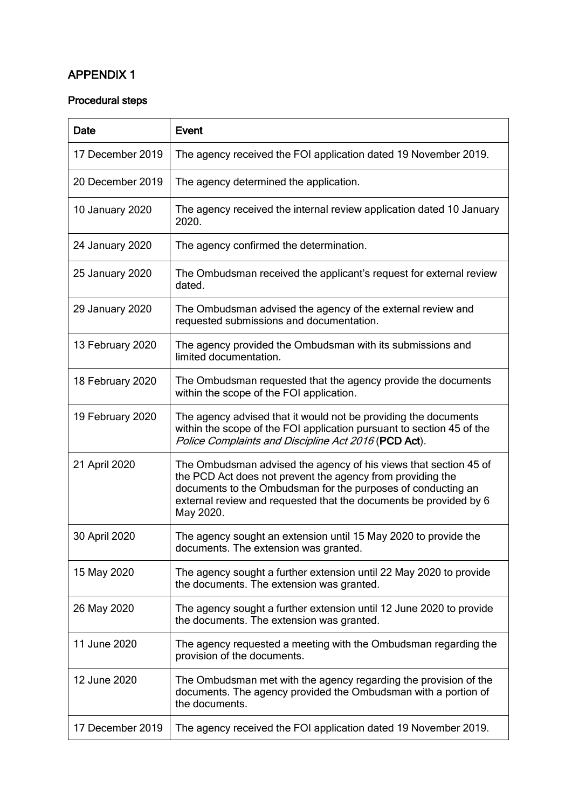# APPENDIX 1

# Procedural steps

| <b>Date</b>      | <b>Event</b>                                                                                                                                                                                                                                                                     |
|------------------|----------------------------------------------------------------------------------------------------------------------------------------------------------------------------------------------------------------------------------------------------------------------------------|
| 17 December 2019 | The agency received the FOI application dated 19 November 2019.                                                                                                                                                                                                                  |
| 20 December 2019 | The agency determined the application.                                                                                                                                                                                                                                           |
| 10 January 2020  | The agency received the internal review application dated 10 January<br>2020.                                                                                                                                                                                                    |
| 24 January 2020  | The agency confirmed the determination.                                                                                                                                                                                                                                          |
| 25 January 2020  | The Ombudsman received the applicant's request for external review<br>dated.                                                                                                                                                                                                     |
| 29 January 2020  | The Ombudsman advised the agency of the external review and<br>requested submissions and documentation.                                                                                                                                                                          |
| 13 February 2020 | The agency provided the Ombudsman with its submissions and<br>limited documentation.                                                                                                                                                                                             |
| 18 February 2020 | The Ombudsman requested that the agency provide the documents<br>within the scope of the FOI application.                                                                                                                                                                        |
| 19 February 2020 | The agency advised that it would not be providing the documents<br>within the scope of the FOI application pursuant to section 45 of the<br>Police Complaints and Discipline Act 2016 (PCD Act).                                                                                 |
| 21 April 2020    | The Ombudsman advised the agency of his views that section 45 of<br>the PCD Act does not prevent the agency from providing the<br>documents to the Ombudsman for the purposes of conducting an<br>external review and requested that the documents be provided by 6<br>May 2020. |
| 30 April 2020    | The agency sought an extension until 15 May 2020 to provide the<br>documents. The extension was granted.                                                                                                                                                                         |
| 15 May 2020      | The agency sought a further extension until 22 May 2020 to provide<br>the documents. The extension was granted.                                                                                                                                                                  |
| 26 May 2020      | The agency sought a further extension until 12 June 2020 to provide<br>the documents. The extension was granted.                                                                                                                                                                 |
| 11 June 2020     | The agency requested a meeting with the Ombudsman regarding the<br>provision of the documents.                                                                                                                                                                                   |
| 12 June 2020     | The Ombudsman met with the agency regarding the provision of the<br>documents. The agency provided the Ombudsman with a portion of<br>the documents.                                                                                                                             |
| 17 December 2019 | The agency received the FOI application dated 19 November 2019.                                                                                                                                                                                                                  |